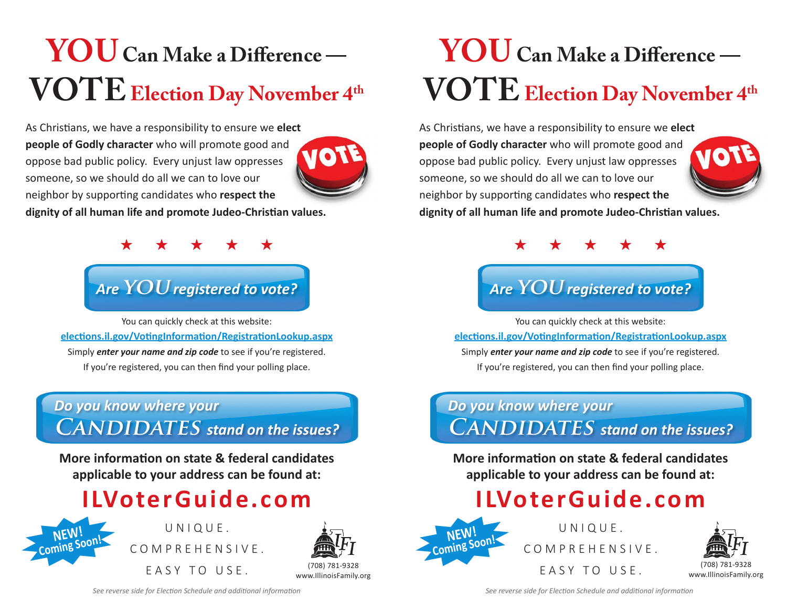# **You Can Make a Difference —**   $VOTE$  Election Day November 4<sup>th</sup>

As Christians, we have a responsibility to ensure we **elect people of Godly character** who will promote good and oppose bad public policy. Every unjust law oppresses someone, so we should do all we can to love our neighbor by supporting candidates who **respect the** 



**dignity of all human life and promote Judeo-Christian values.**



## *Are* **you***registered to vote?*

You can quickly check at this website: **elections.il.gov/VotingInformation/RegistrationLookup.aspx** Simply *enter your name and zip code* to see if you're registered. If you're registered, you can then find your polling place.

#### *Do you know where your*   $$

**More information on state & federal candidates applicable to your address can be found at:**

## **ILVoterGuide.com**



UNIQUE.



# **You Can Make a Difference —**   $VOTE$  Election Day November 4<sup>th</sup>

As Christians, we have a responsibility to ensure we **elect people of Godly character** who will promote good and oppose bad public policy. Every unjust law oppresses someone, so we should do all we can to love our neighbor by supporting candidates who **respect the** 



**dignity of all human life and promote Judeo-Christian values.**



## *Are* **you***registered to vote?*

You can quickly check at this website: **elections.il.gov/VotingInformation/RegistrationLookup.aspx** Simply *enter your name and zip code* to see if you're registered. If you're registered, you can then find your polling place.

### *Do you know where your*   $$

**More information on state & federal candidates applicable to your address can be found at:**

## **ILVoterGuide.com**



UNIQUE.



*See reverse side for Election Schedule and additional information*